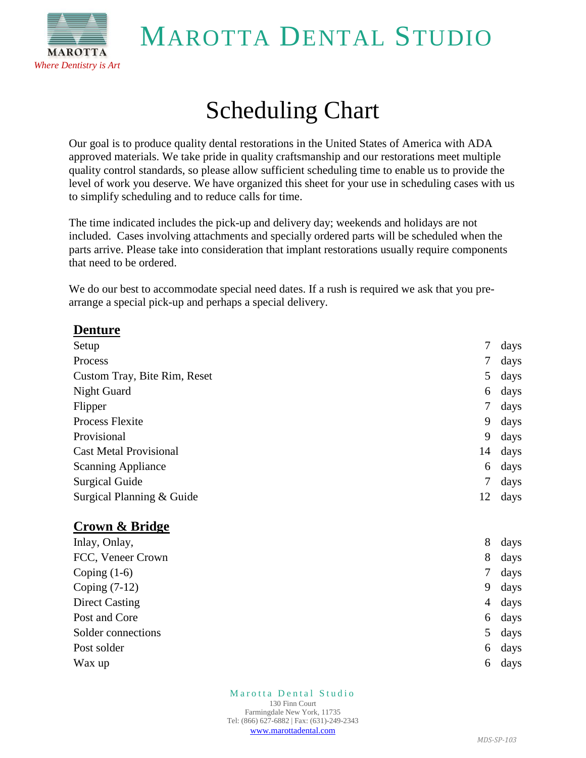MAROTTA DENTAL STUDIO



## Scheduling Chart

Our goal is to produce quality dental restorations in the United States of America with ADA approved materials. We take pride in quality craftsmanship and our restorations meet multiple quality control standards, so please allow sufficient scheduling time to enable us to provide the level of work you deserve. We have organized this sheet for your use in scheduling cases with us to simplify scheduling and to reduce calls for time.

The time indicated includes the pick-up and delivery day; weekends and holidays are not included. Cases involving attachments and specially ordered parts will be scheduled when the parts arrive. Please take into consideration that implant restorations usually require components that need to be ordered.

We do our best to accommodate special need dates. If a rush is required we ask that you prearrange a special pick-up and perhaps a special delivery.

| <b>Denture</b>                |    |      |
|-------------------------------|----|------|
| Setup                         | 7  | days |
| Process                       | 7  | days |
| Custom Tray, Bite Rim, Reset  | 5  | days |
| Night Guard                   | 6  | days |
| Flipper                       | 7  | days |
| <b>Process Flexite</b>        | 9  | days |
| Provisional                   | 9  | days |
| <b>Cast Metal Provisional</b> | 14 | days |
| <b>Scanning Appliance</b>     | 6  | days |
| <b>Surgical Guide</b>         | 7  | days |
| Surgical Planning & Guide     | 12 | days |
|                               |    |      |

#### **Crown & Bridge**

| Inlay, Onlay,         | 8 | days |
|-----------------------|---|------|
| FCC, Veneer Crown     | 8 | days |
| Coping $(1-6)$        | 7 | days |
| Coping $(7-12)$       | 9 | days |
| <b>Direct Casting</b> | 4 | days |
| Post and Core         | 6 | days |
| Solder connections    | 5 | days |
| Post solder           | 6 | days |
| Wax up                | 6 | days |

Marotta Dental Studio 130 Finn Court Farmingdale New York, 11735 Tel: (866) 627-6882 | Fax: (631)-249-2343 [www.marottadental.com](http://www.marottadental.com/)